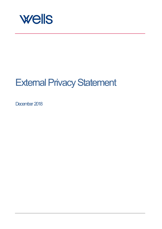

# External Privacy Statement

December 2018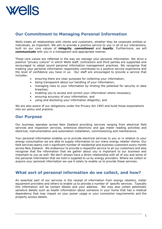

# **Our Commitment to Managing Personal Information**

Wells treats all relationships with clients and customers, whether they be corporate entities or individuals, as important. We aim to provide a positive service to you in all of our interactions, built on our core values of *integrity*, *commitment* and *loyalty*. Furthermore, we will *communicate* with you in a transparent and appropriate manner.

These core values are reflected in the way we manage your personal information. We drive a positive "privacy culture" in which Wells staff, contractors and third parties are supported and encouraged to adopt sound personal information management practices. We recognise that treating your personal information responsibly contributes to a positive service experience and the level of confidence you have in us. Our staff are encouraged to provide a service that includes:

- ensuring there are clear purposes for collecting your information;
- being transparent about our handling of your information;
- managing risks to your information by limiting the potential for security or data breaches;
- enabling you to access and correct your information where necessary;
- ensuring accuracy of your information; and
- using and disclosing your information diligently; and

We are also aware of our obligations under the Privacy Act 1993 and build those expectations into our policy and practice.

#### **Our Purpose**

Our business operates across New Zealand providing services ranging from electrical field services and inspection services, extensive electricity and gas meter reading activities and electrical, instrumentation and automation installation, commissioning and maintenance.

Your personal information enables us to provide electrical services to you or in relation to your energy consumption we are able to supply information to our many energy retailer clients. Our field services teams visit s significant number of residential and business customers every month across New Zealand. We endeavour to provide a respectful service to all our customers and also recognise that the information that we gather about you is important to our business and important to you as well. We don't always have a direct relationship with all of you and some of the personal information that we hold is supplied to us by energy providers. Where we collect or acquire your personal information we use it solely to enable us to provide these services.

### **What sort of personal information do we collect, and how?**

An essential part of our services is the receipt of information from energy retailers, meter equipment providers and others to enable us to provide a number of specific services. Typically this information will be contact details and your address. We may also collect potentially sensitive details such as health information about someone in your home that has a medical dependency that may impact on your power usage or your connection requirements and the property access details.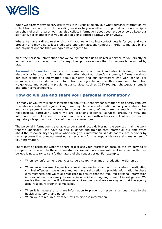

When we directly provide services to you it will usually be obvious what personal information we collect from you and why. In providing services to you whether through a direct relationship or on behalf of a third party we may also collect information about your property so as keep our staff safe. For example that you have a dog or a difficult pathway or driveway.

Where we have a direct relationship with you we will collect contact details for you and your property and may also collect credit card and bank account numbers in order to manage billing and payment options that you agree have agreed to.

All of the personal information that we collect enables us to deliver a service to you directly or indirectly and we do not use it for any other purpose unless that further use is permitted by law.

**Personal information** means any information about an identifiable individual, whether electronic or hard copy. It includes information about our client's customers, information about our own clients and information about our staff and our contractors who work for us. For example, it may include contact information, demographic and health information, information we generate and acquire in providing our services, such as CCTV footage, photographs, emails and other correspondence.

### **How do we use and share your personal information?**

For many of you we will share information about your energy consumption with energy retailers to enable accurate and regular billing. We may also share information about your meter status and your payment arrangements to provide continuity of your energy supply. In other relationships, particularly where we are providing electrical services directly to you, the information we hold about you is not routinely shared with others except where we have a regulatory obligation to certify equipment or connections.

The personal information is available to our staff directly delivering the services in all the work that we undertake. We have policies, guidance and training that informs all our employees about the responsibility they have when using your information. We do not tolerate behavior by our employees that does not meet our expectations for the responsible use and management of your information.

There may be occasions when we share or disclose your information because the law permits or compels us to do so. In these circumstances, we will only share sufficient information that we believe is necessary to satisfy the nature of the request of us. For example,

- When law enforcement agencies serve a search warrant or production order on us
- When law enforcement agencies request personal information from us when investigating criminal offences. We understand we have a discretion to provide information in these circumstances and we take great care to ensure that the required personal information is relevant and necessary to assist in a valid and ongoing criminal investigation. We realise that we can decline these sorts of requests and we can suggest that the agency acquire a court order in some cases.
- When it is necessary to share information to prevent or lessen a serious threat to the health or safety of any person
- When we are required by other laws to disclose information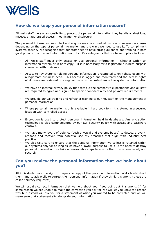

## **How do we keep your personal information secure?**

All Wells staff have a responsibility to protect the personal information they handle against loss, misuse, unauthorised access, modification or disclosure.

The personal information we collect and acquire may be stored within one or several databases depending on the type of personal information and the ways we need to use it. To compliment systems security, we recognise that our staff need to have strong guidance and training in both good privacy practice and information security. Key safeguards that we have in place include:

- All Wells staff must only access or use personal information whether within an information system or in hard copy – if it is necessary for a legitimate business purpose connected with their role
- Access to key systems holding personal information is restricted to only those users with a legitimate business need. This access is logged and monitored and the access rights of all users are reviewed on a regular basis by the custodians of the system or information
- We have an internal privacy policy that sets out the company's expectations and all staff are required to agree and sign up to specific confidentiality and privacy requirements
- We provide annual training and refresher training to our key staff on the management of personal information
- Where personal information is only available in hard copy form it is stored in a secured location with controlled access
- Encryption is used to protect personal information held in databases. Any encryption technology is also complemented by our ICT Security policy with access and password controls.
- We have many layers of defence (both physical and systems based) to detect, prevent, respond and recover from potential security breaches that align with industry best practice.
- We also take care to ensure that the personal information we collect is retained within our systems only for as long as we have a lawful purpose to use it. If we need to destroy personal information, we take all reasonable steps to ensure that this is done safely and securely

### **Can you review the personal information that we hold about you?**

All individuals have the right to request a copy of the personal information Wells holds about them, and to ask Wells to correct their personal information if they think it is wrong (these are called "privacy requests").

We will usually correct information that we hold about you if you point out it is wrong. If, for some reason we are unable to make the correction you ask for, we will let you know the reason why but instead will ask you for a statement of what you wanted to be corrected and we will make sure that statement sits alongside your information.